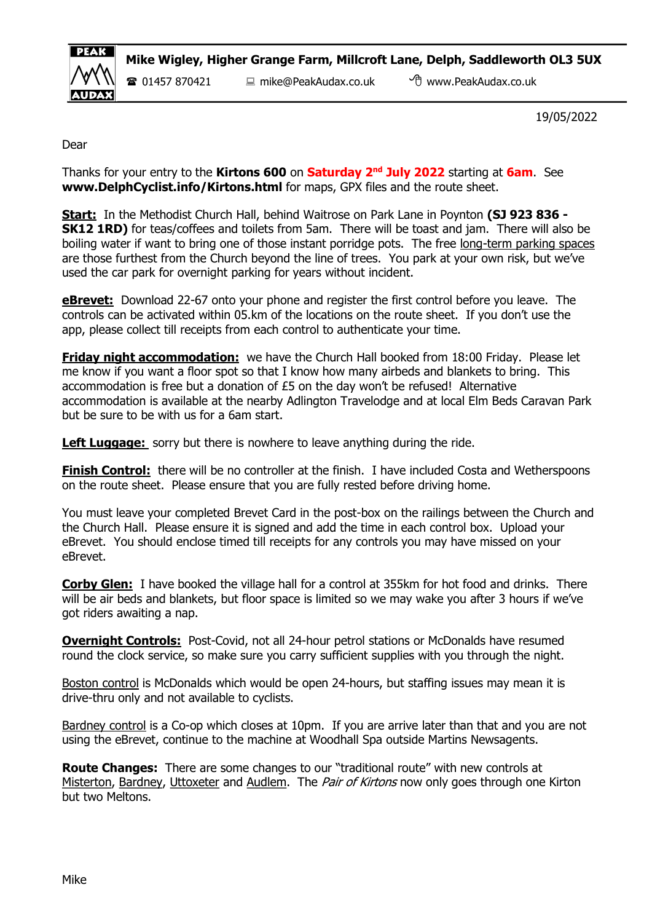

Mike Wigley, Higher Grange Farm, Millcroft Lane, Delph, Saddleworth OL3 5UX

01457 870421 mike@PeakAudax.co.uk www.PeakAudax.co.uk

19/05/2022

Dear

Thanks for your entry to the Kirtons 600 on Saturday 2<sup>nd</sup> July 2022 starting at 6am. See www.DelphCyclist.info/Kirtons.html for maps, GPX files and the route sheet.

Start: In the Methodist Church Hall, behind Waitrose on Park Lane in Poynton (SJ 923 836 -SK12 1RD) for teas/coffees and toilets from 5am. There will be toast and jam. There will also be boiling water if want to bring one of those instant porridge pots. The free long-term parking spaces are those furthest from the Church beyond the line of trees. You park at your own risk, but we've used the car park for overnight parking for years without incident.

**eBrevet:** Download 22-67 onto your phone and register the first control before you leave. The controls can be activated within 05.km of the locations on the route sheet. If you don't use the app, please collect till receipts from each control to authenticate your time.

**Friday night accommodation:** we have the Church Hall booked from 18:00 Friday. Please let me know if you want a floor spot so that I know how many airbeds and blankets to bring. This accommodation is free but a donation of £5 on the day won't be refused! Alternative accommodation is available at the nearby Adlington Travelodge and at local Elm Beds Caravan Park but be sure to be with us for a 6am start.

Left Luggage: sorry but there is nowhere to leave anything during the ride.

**Finish Control:** there will be no controller at the finish. I have included Costa and Wetherspoons on the route sheet. Please ensure that you are fully rested before driving home.

You must leave your completed Brevet Card in the post-box on the railings between the Church and the Church Hall. Please ensure it is signed and add the time in each control box. Upload your eBrevet. You should enclose timed till receipts for any controls you may have missed on your eBrevet.

Corby Glen: I have booked the village hall for a control at 355km for hot food and drinks. There will be air beds and blankets, but floor space is limited so we may wake you after 3 hours if we've got riders awaiting a nap.

**Overnight Controls:** Post-Covid, not all 24-hour petrol stations or McDonalds have resumed round the clock service, so make sure you carry sufficient supplies with you through the night.

Boston control is McDonalds which would be open 24-hours, but staffing issues may mean it is drive-thru only and not available to cyclists.

Bardney control is a Co-op which closes at 10pm. If you are arrive later than that and you are not using the eBrevet, continue to the machine at Woodhall Spa outside Martins Newsagents.

**Route Changes:** There are some changes to our "traditional route" with new controls at Misterton, Bardney, Uttoxeter and Audlem. The Pair of Kirtons now only goes through one Kirton but two Meltons.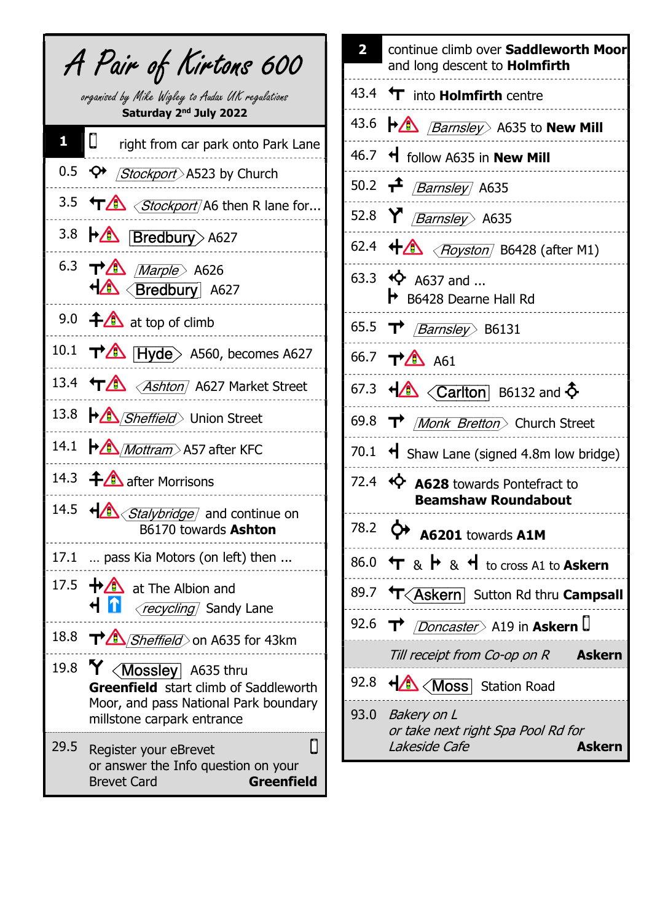|              | A Pair of Kirtons 600                                                                                                                                                         |
|--------------|-------------------------------------------------------------------------------------------------------------------------------------------------------------------------------|
|              | organised by Mike Wigley to Audax UK regulations<br>Saturday 2 <sup>nd</sup> July 2022                                                                                        |
| $\mathbf{1}$ | $\boxed{\mathbb{C}}$ right from car park onto Park Lane                                                                                                                       |
|              | 0.5 < O+ <i>Stockport</i> > A523 by Church                                                                                                                                    |
|              | 3.5 TA <stockport a6="" for<="" lane="" r="" td="" then=""></stockport>                                                                                                       |
|              | 3.8 <b>A Bredbury</b> A627                                                                                                                                                    |
|              | 6.3 TA <i>Marple</i> A626<br>HA <bredbury a627<="" td=""></bredbury>                                                                                                          |
|              | 9.0 $\bigoplus$ at top of climb                                                                                                                                               |
|              | 10.1 $\rightarrow$ Hyde A560, becomes A627                                                                                                                                    |
|              | 13.4 TA <ashton a627="" market="" street<="" td=""></ashton>                                                                                                                  |
|              | 13.8 <b>+ Sheffield</b> Union Street                                                                                                                                          |
|              | 14.1 $\bigoplus$ <i>Mottram</i> A57 after KFC                                                                                                                                 |
|              | 14.3 $\bigoplus$ after Morrisons                                                                                                                                              |
|              | 14.5 + Stalybridge and continue on<br>B6170 towards Ashton                                                                                                                    |
| 17.1         | pass Kia Motors (on left) then                                                                                                                                                |
| 17.5         | $\bigoplus$ at The Albion and<br><b>H</b> 1<br><i>recycling</i> Sandy Lane                                                                                                    |
| 18.8         | T <sup>3</sup> <i>Sheffield</i> on A635 for 43km                                                                                                                              |
|              | 19.8 $\mathsf{Y}$ <mossley a635="" thru<br=""><b>Greenfield</b> start climb of Saddleworth<br/>Moor, and pass National Park boundary<br/>millstone carpark entrance</mossley> |
| 29.5         | П<br>Register your eBrevet<br>or answer the Info question on your<br><b>Brevet Card</b><br><b>Greenfield</b>                                                                  |

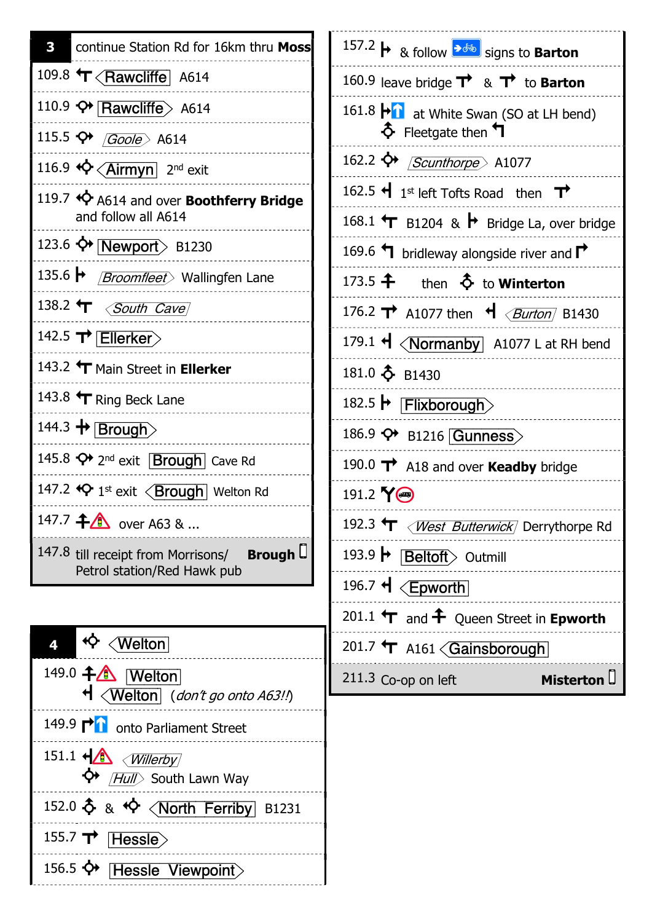| <b>B</b> continue Station Rd for 16km thru Moss                                      |
|--------------------------------------------------------------------------------------|
| 109.8 T <rawcliffe a614<="" td=""></rawcliffe>                                       |
| 110.9 $\leftrightarrow$ Rawcliffe> A614                                              |
| 115.5 $\leftrightarrow$ (Goole) A614                                                 |
| 116.9 < <a> <br/> &lt; 2nd exit</a>                                                  |
| 119.7 <>> A614 and over Boothferry Bridge<br>and follow all A614                     |
| 123.6 $\leftrightarrow$ Newport B1230                                                |
| 135.6 → <i>Broomfleet</i> > Wallingfen Lane                                          |
| 138.2 $\mathbf{\hat{T}}$ $\left\langle$ <i>South Cave</i>                            |
| 142.5 T Ellerker                                                                     |
| 143.2 T Main Street in Ellerker                                                      |
| 143.8 $\mathbf{\hat{T}}$ Ring Beck Lane                                              |
| 144.3 + Brough                                                                       |
| 145.8 $\leftrightarrow$ 2 <sup>nd</sup> exit <b>Brough</b> Cave Rd                   |
| 147.2 <> 1st exit < Brough Welton Rd                                                 |
| 147.7 $\uparrow$ over A63 &                                                          |
| 147.8 till receipt from Morrisons/<br><b>Brough</b><br>Petrol station/Red Hawk pub   |
|                                                                                      |
| $\sqrt{\mathsf{Welton}}$<br>4                                                        |
| 149.0 + 1<br>$\mathsf{\mathcal{H}}$ $\langle$ Welton $\rangle$ (don't go onto A63!!) |
| 149.9 $\mathsf{P}\mathsf{N}$<br>onto Parliament Street                               |
| 151.1 $\leftarrow \land$ (Willerby)                                                  |

| 157.2 → & follow assessing to Barton                                                       |
|--------------------------------------------------------------------------------------------|
| 160.9 leave bridge $\overrightarrow{\mathbf{r}}$ & $\overrightarrow{\mathbf{r}}$ to Barton |
| 161.8 $\blacktriangleright$ at White Swan (SO at LH bend)<br>$\Phi$ Fleetgate then $\P$    |
| 162.2 ↔ <i>Scunthorpe</i> A1077                                                            |
| 162.5 $\bigoplus$ 1 <sup>st</sup> left Tofts Road then $\bigoplus$                         |
| 168.1 $\uparrow$ B1204 & $\uparrow$ Bridge La, over bridge                                 |
| 169.6 $\blacktriangleleft$ bridleway alongside river and $\blacktriangleright$             |
| 173.5 $\hat{+}$ then $\hat{\diamond}$ to Winterton                                         |
| 176.2 <b>T</b> A1077 then $\mathbf{H} \left\{ \frac{Burton}{Bulton} \right\}$ B1430        |
| 179.1 < < Normanby A1077 L at RH bend                                                      |
| 181.0 + B1430                                                                              |
| 182.5 → Flixborough>                                                                       |
| 186.9 + B1216 Gunness>                                                                     |
| 190.0 $\rightarrow$ A18 and over Keadby bridge                                             |
| 191.2 YO                                                                                   |
| 192.3 T < West Butterwick Derrythorpe Rd                                                   |
| 193.9 <b>• Beltoft</b> Outmill                                                             |
| 196.7 + <epworth< td=""></epworth<>                                                        |
| 201.1 $\mathbf{\hat{T}}$ and $\mathbf{\hat{+}}$ Queen Street in Epworth                    |
| 201.7 $\mathbf{\hat{T}}$ A161 $\langle$ Gainsborough                                       |
| 211.3 Co-op on left<br>Misterton U                                                         |
|                                                                                            |
|                                                                                            |

 $\overleftrightarrow{\mathbf{P}}$  /Hull> South Lawn Way  $152.0$   $\uparrow$  &  $\uparrow$   $\downarrow$   $\uparrow$   $\uparrow$   $\uparrow$   $\uparrow$   $\uparrow$   $\uparrow$   $\uparrow$   $\uparrow$   $\uparrow$   $\uparrow$   $\uparrow$   $\uparrow$   $\uparrow$   $\uparrow$   $\uparrow$   $\uparrow$   $\uparrow$   $\uparrow$   $\uparrow$   $\uparrow$   $\uparrow$   $\uparrow$   $\uparrow$   $\uparrow$   $\uparrow$   $\uparrow$   $\uparrow$   $\uparrow$   $\uparrow$   $\uparrow$   $\uparrow$   $\uparrow$  155.7  $\rightarrow$  [Hessle $>$ ]

156.5  $\leftrightarrow$  Hessle Viewpoint>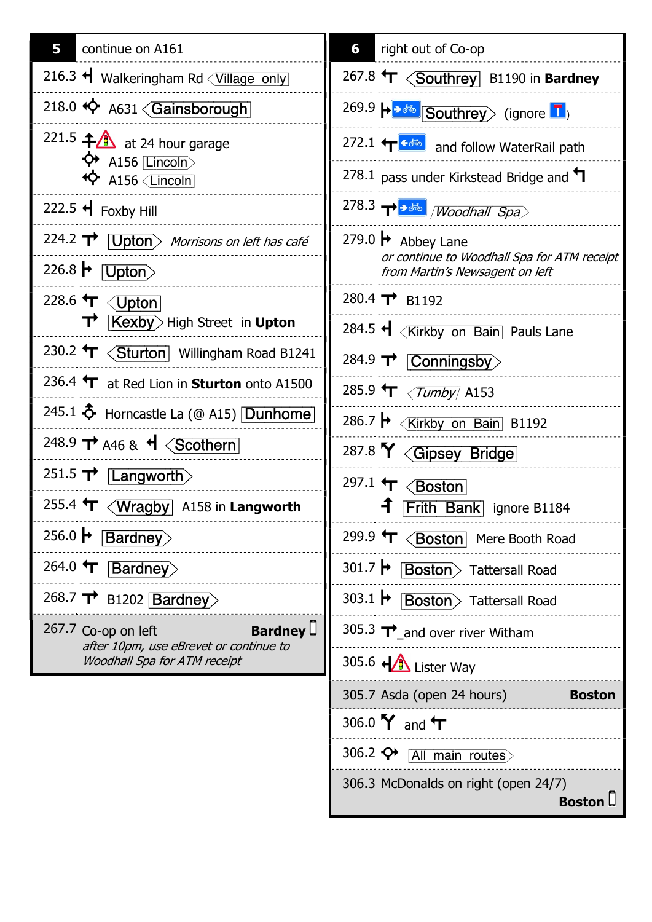| 5<br>continue on A161                                                                                                                                      | 6<br>right out of Co-op                                                                    |
|------------------------------------------------------------------------------------------------------------------------------------------------------------|--------------------------------------------------------------------------------------------|
| 216.3 H Walkeringham Rd <village only<="" th=""><th>267.8 <math>\text{T} \left\langle \text{Southrey} \right\rangle</math> B1190 in Bardney</th></village> | 267.8 $\text{T} \left\langle \text{Southrey} \right\rangle$ B1190 in Bardney               |
| 218.0 <>> A631<<br>Gainsborough                                                                                                                            | 269.9 $\rightarrow \rightarrow \rightarrow \rightarrow$ Southrey> (ignore $\blacksquare$ ) |
| 221.5 $\bigoplus$ at 24 hour garage                                                                                                                        | 272.1 $\leftarrow$ $\leftarrow$ and follow WaterRail path                                  |
| $\leftrightarrow$ A156 [Lincoln]<br>$\overleftrightarrow{\mathbf{Q}}$ A156 $\overline{\mathsf{Lincoh}}$                                                    | 278.1 pass under Kirkstead Bridge and $\P$                                                 |
| 222.5 $\bigcup$ Foxby Hill                                                                                                                                 |                                                                                            |
| 224.2 $\rightarrow$ Upton Morrisons on left has café                                                                                                       | 279.0 $\blacktriangleright$ Abbey Lane                                                     |
| 226.8 $\blacktriangleright$ [Upton $>$                                                                                                                     | or continue to Woodhall Spa for ATM receipt<br>from Martin's Newsagent on left             |
| 228.6 T < Upton                                                                                                                                            | 280.4 T B1192                                                                              |
| $\overrightarrow{\textbf{T}}$ <b>Kexby</b> High Street in <b>Upton</b>                                                                                     | 284.5 H <kirkby bain="" lane<="" on="" pauls="" th=""></kirkby>                            |
| 230.2 $\text{T} \leq \text{Sturton}$ Willingham Road B1241                                                                                                 | 284.9 TV Conningsby                                                                        |
| 236.4 T at Red Lion in Sturton onto A1500                                                                                                                  | 285.9 T <i>(Tumby</i> A153                                                                 |
| 245.1 $\Phi$ Horncastle La (@ A15) Dunhome                                                                                                                 | 286.7 → < Kirkby on Bain B1192                                                             |
| 248.9 $\rightarrow$ A46 & $\rightarrow$ $\sqrt{\text{Scothern}}$                                                                                           | 287.8 Y <gipsey bridge<="" th=""></gipsey>                                                 |
| 251.5 $\mathbf{\tau}$ [Langworth)                                                                                                                          | 297.1 $\leftarrow$ $\leftarrow$ Soston                                                     |
| 255.4 $\textbf{L}$ $\left\langle \textbf{Wragby} \right $ A158 in Langworth                                                                                | <b>f</b> Frith Bank ignore B1184                                                           |
| 256.0 $\blacktriangleright$<br><b>Bardney</b>                                                                                                              | 299.9 T <boston booth="" mere="" road<="" th=""></boston>                                  |
| 264.0 $\leftarrow$<br><b>Bardney</b>                                                                                                                       | 301.7 $\blacktriangleright$<br><b>Boston</b> > Tattersall Road                             |
| 268.7 $\rightarrow$ B1202 Bardney                                                                                                                          | 303.1 $\blacktriangleright$<br><b>Boston</b> > Tattersall Road                             |
| <b>Bardney</b><br>267.7 Co-op on left                                                                                                                      | 305.3 $\mathbf{T}$ and over river Witham                                                   |
| after 10pm, use eBrevet or continue to<br>Woodhall Spa for ATM receipt                                                                                     | 305.6 + Lister Way                                                                         |
|                                                                                                                                                            | 305.7 Asda (open 24 hours)<br><b>Boston</b>                                                |
|                                                                                                                                                            | 306.0 $Y$ and $T$                                                                          |
|                                                                                                                                                            | 306.2 $\bigcirc$<br>All main routes                                                        |
|                                                                                                                                                            | 306.3 McDonalds on right (open 24/7)<br><b>Boston</b> L                                    |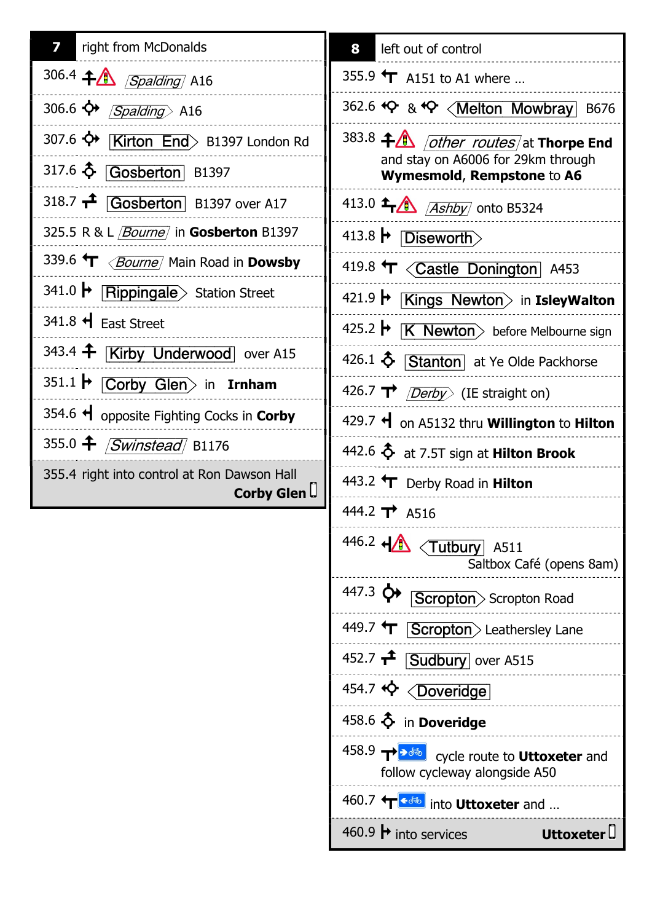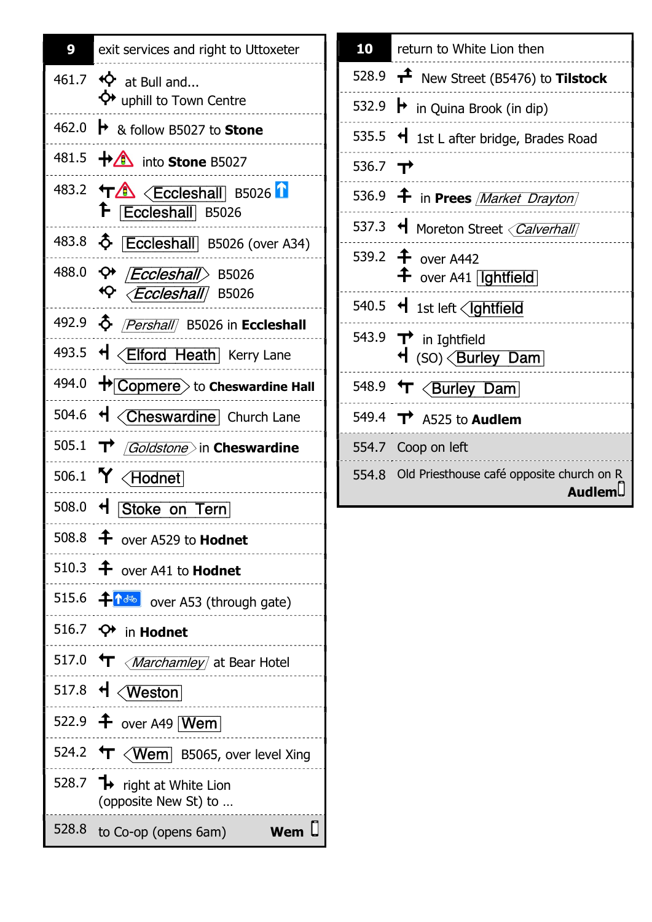

| 10                  | return to White Lion then                                                  |
|---------------------|----------------------------------------------------------------------------|
|                     | 528.9 $\mathbf{t}^2$ New Street (B5476) to Tilstock                        |
|                     | 532.9 $\rightarrow$ in Quina Brook (in dip)                                |
|                     | 535.5 $\triangleleft$ 1st L after bridge, Brades Road                      |
| 536.7 $\rightarrow$ |                                                                            |
|                     | 536.9 <b>f</b> in Prees <i>Market Drayton</i>                              |
|                     | 537.3 + Moreton Street < Calverhall                                        |
|                     | 539.2 <sup>+</sup> over A442<br>$\hat{+}$ over A41 [Ightfield]             |
|                     | 540.5 + 1st left < Ightfield                                               |
|                     | 543.9 $\rightarrow$ in Ightfield<br>$\mathsf{H}$ (SO) $\langle$ Burley Dam |
|                     | 548.9 T <burley dam<="" td=""></burley>                                    |
|                     | 549.4 $\rightarrow$ A525 to Audlem                                         |
|                     | 554.7 Coop on left                                                         |
|                     | 554.8 Old Priesthouse café opposite church on R<br><b>Audlem.</b>          |